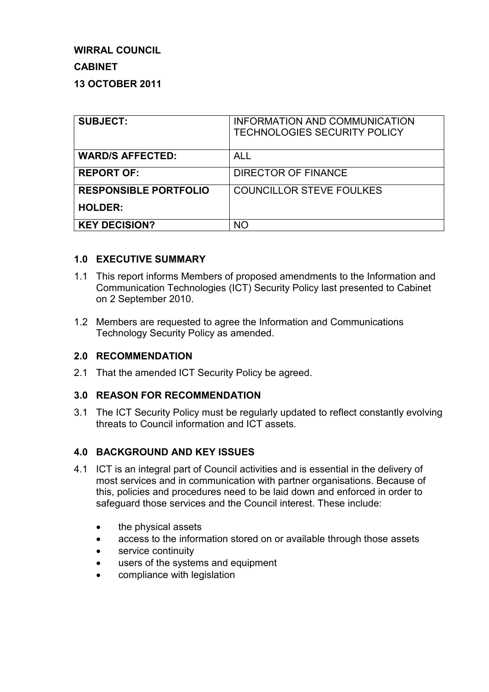# **WIRRAL COUNCIL**

## **CABINET**

## **13 OCTOBER 2011**

| <b>SUBJECT:</b>              | INFORMATION AND COMMUNICATION<br><b>TECHNOLOGIES SECURITY POLICY</b> |
|------------------------------|----------------------------------------------------------------------|
| <b>WARD/S AFFECTED:</b>      | ALL                                                                  |
| <b>REPORT OF:</b>            | DIRECTOR OF FINANCE                                                  |
| <b>RESPONSIBLE PORTFOLIO</b> | <b>COUNCILLOR STEVE FOULKES</b>                                      |
| <b>HOLDER:</b>               |                                                                      |
| <b>KEY DECISION?</b>         | <b>NO</b>                                                            |

### **1.0 EXECUTIVE SUMMARY**

- 1.1 This report informs Members of proposed amendments to the Information and Communication Technologies (ICT) Security Policy last presented to Cabinet on 2 September 2010.
- 1.2 Members are requested to agree the Information and Communications Technology Security Policy as amended.

### **2.0 RECOMMENDATION**

2.1 That the amended ICT Security Policy be agreed.

### **3.0 REASON FOR RECOMMENDATION**

3.1 The ICT Security Policy must be regularly updated to reflect constantly evolving threats to Council information and ICT assets.

### **4.0 BACKGROUND AND KEY ISSUES**

- 4.1 ICT is an integral part of Council activities and is essential in the delivery of most services and in communication with partner organisations. Because of this, policies and procedures need to be laid down and enforced in order to safeguard those services and the Council interest. These include:
	- the physical assets
	- access to the information stored on or available through those assets
	- service continuity
	- users of the systems and equipment
	- compliance with legislation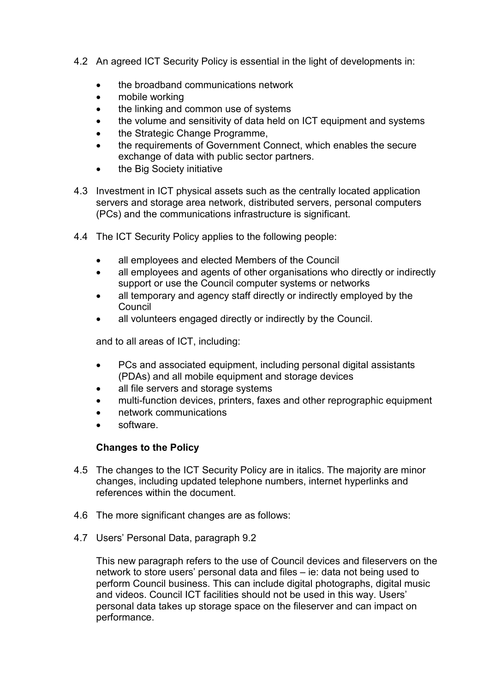- 4.2 An agreed ICT Security Policy is essential in the light of developments in:
	- the broadband communications network
	- mobile working
	- the linking and common use of systems
	- the volume and sensitivity of data held on ICT equipment and systems
	- the Strategic Change Programme,
	- the requirements of Government Connect, which enables the secure exchange of data with public sector partners.
	- the Big Society initiative
- 4.3 Investment in ICT physical assets such as the centrally located application servers and storage area network, distributed servers, personal computers (PCs) and the communications infrastructure is significant.
- 4.4 The ICT Security Policy applies to the following people:
	- all employees and elected Members of the Council
	- all employees and agents of other organisations who directly or indirectly support or use the Council computer systems or networks
	- all temporary and agency staff directly or indirectly employed by the Council
	- all volunteers engaged directly or indirectly by the Council.

and to all areas of ICT, including:

- PCs and associated equipment, including personal digital assistants (PDAs) and all mobile equipment and storage devices
- all file servers and storage systems
- multi-function devices, printers, faxes and other reprographic equipment
- network communications
- software.

# **Changes to the Policy**

- 4.5 The changes to the ICT Security Policy are in italics. The majority are minor changes, including updated telephone numbers, internet hyperlinks and references within the document.
- 4.6 The more significant changes are as follows:
- 4.7 Users' Personal Data, paragraph 9.2

This new paragraph refers to the use of Council devices and fileservers on the network to store users' personal data and files – ie: data not being used to perform Council business. This can include digital photographs, digital music and videos. Council ICT facilities should not be used in this way. Users' personal data takes up storage space on the fileserver and can impact on performance.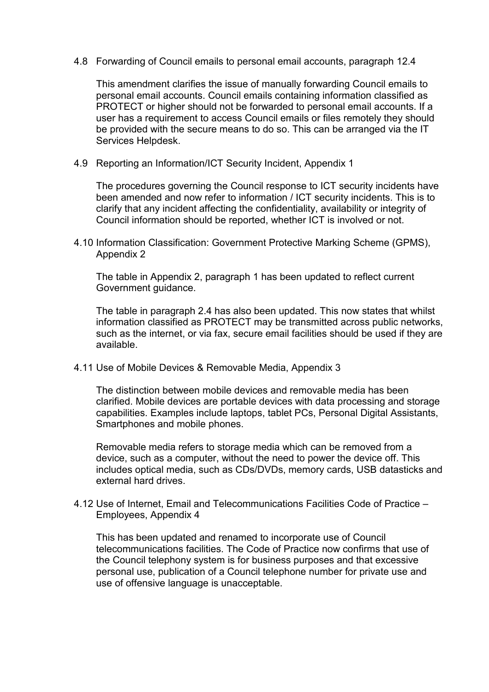4.8 Forwarding of Council emails to personal email accounts, paragraph 12.4

This amendment clarifies the issue of manually forwarding Council emails to personal email accounts. Council emails containing information classified as PROTECT or higher should not be forwarded to personal email accounts. If a user has a requirement to access Council emails or files remotely they should be provided with the secure means to do so. This can be arranged via the IT Services Helpdesk.

4.9 Reporting an Information/ICT Security Incident, Appendix 1

The procedures governing the Council response to ICT security incidents have been amended and now refer to information / ICT security incidents. This is to clarify that any incident affecting the confidentiality, availability or integrity of Council information should be reported, whether ICT is involved or not.

4.10 Information Classification: Government Protective Marking Scheme (GPMS), Appendix 2

The table in Appendix 2, paragraph 1 has been updated to reflect current Government guidance.

The table in paragraph 2.4 has also been updated. This now states that whilst information classified as PROTECT may be transmitted across public networks, such as the internet, or via fax, secure email facilities should be used if they are available.

4.11 Use of Mobile Devices & Removable Media, Appendix 3

The distinction between mobile devices and removable media has been clarified. Mobile devices are portable devices with data processing and storage capabilities. Examples include laptops, tablet PCs, Personal Digital Assistants, Smartphones and mobile phones.

Removable media refers to storage media which can be removed from a device, such as a computer, without the need to power the device off. This includes optical media, such as CDs/DVDs, memory cards, USB datasticks and external hard drives.

4.12 Use of Internet, Email and Telecommunications Facilities Code of Practice – Employees, Appendix 4

This has been updated and renamed to incorporate use of Council telecommunications facilities. The Code of Practice now confirms that use of the Council telephony system is for business purposes and that excessive personal use, publication of a Council telephone number for private use and use of offensive language is unacceptable.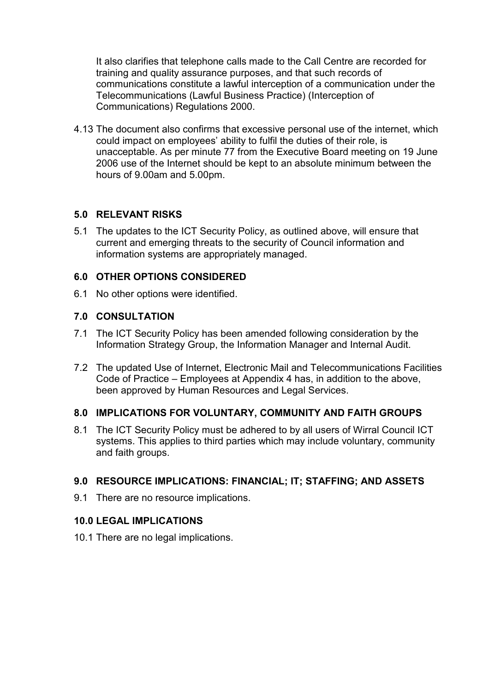It also clarifies that telephone calls made to the Call Centre are recorded for training and quality assurance purposes, and that such records of communications constitute a lawful interception of a communication under the Telecommunications (Lawful Business Practice) (Interception of Communications) Regulations 2000.

4.13 The document also confirms that excessive personal use of the internet, which could impact on employees' ability to fulfil the duties of their role, is unacceptable. As per minute 77 from the Executive Board meeting on 19 June 2006 use of the Internet should be kept to an absolute minimum between the hours of 9.00am and 5.00pm.

## **5.0 RELEVANT RISKS**

5.1 The updates to the ICT Security Policy, as outlined above, will ensure that current and emerging threats to the security of Council information and information systems are appropriately managed.

### **6.0 OTHER OPTIONS CONSIDERED**

6.1 No other options were identified.

## **7.0 CONSULTATION**

- 7.1 The ICT Security Policy has been amended following consideration by the Information Strategy Group, the Information Manager and Internal Audit.
- 7.2 The updated Use of Internet, Electronic Mail and Telecommunications Facilities Code of Practice – Employees at Appendix 4 has, in addition to the above, been approved by Human Resources and Legal Services.

# **8.0 IMPLICATIONS FOR VOLUNTARY, COMMUNITY AND FAITH GROUPS**

8.1 The ICT Security Policy must be adhered to by all users of Wirral Council ICT systems. This applies to third parties which may include voluntary, community and faith groups.

# **9.0 RESOURCE IMPLICATIONS: FINANCIAL; IT; STAFFING; AND ASSETS**

9.1 There are no resource implications.

### **10.0 LEGAL IMPLICATIONS**

10.1 There are no legal implications.